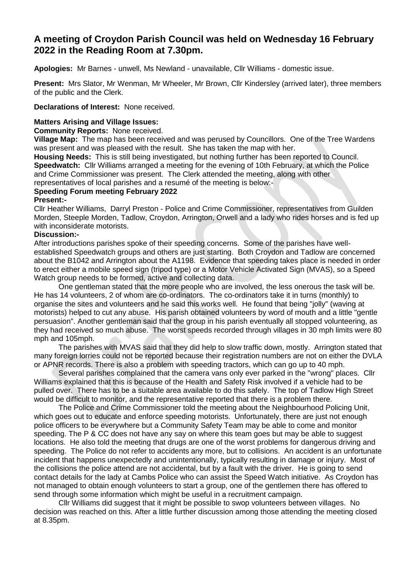# **A meeting of Croydon Parish Council was held on Wednesday 16 February 2022 in the Reading Room at 7.30pm.**

**Apologies:** Mr Barnes - unwell, Ms Newland - unavailable, Cllr Williams - domestic issue.

**Present:** Mrs Slator, Mr Wenman, Mr Wheeler, Mr Brown, Cllr Kindersley (arrived later), three members of the public and the Clerk.

**Declarations of Interest:** None received.

## **Matters Arising and Village Issues:**

**Community Reports:** None received.

**Village Map:** The map has been received and was perused by Councillors. One of the Tree Wardens was present and was pleased with the result. She has taken the map with her.

**Housing Needs:** This is still being investigated, but nothing further has been reported to Council. **Speedwatch:** Cllr Williams arranged a meeting for the evening of 10th February, at which the Police and Crime Commissioner was present. The Clerk attended the meeting, along with other representatives of local parishes and a resumé of the meeting is below:-

# **Speeding Forum meeting February 2022**

## **Present:-**

Cllr Heather Williams, Darryl Preston - Police and Crime Commissioner, representatives from Guilden Morden, Steeple Morden, Tadlow, Croydon, Arrington, Orwell and a lady who rides horses and is fed up with inconsiderate motorists.

## **Discussion:-**

After introductions parishes spoke of their speeding concerns. Some of the parishes have wellestablished Speedwatch groups and others are just starting. Both Croydon and Tadlow are concerned about the B1042 and Arrington about the A1198. Evidence that speeding takes place is needed in order to erect either a mobile speed sign (tripod type) or a Motor Vehicle Activated Sign (MVAS), so a Speed Watch group needs to be formed, active and collecting data.

One gentleman stated that the more people who are involved, the less onerous the task will be. He has 14 volunteers, 2 of whom are co-ordinators. The co-ordinators take it in turns (monthly) to organise the sites and volunteers and he said this works well. He found that being "jolly" (waving at motorists) helped to cut any abuse. His parish obtained volunteers by word of mouth and a little "gentle persuasion". Another gentleman said that the group in his parish eventually all stopped volunteering, as they had received so much abuse. The worst speeds recorded through villages in 30 mph limits were 80 mph and 105mph.

The parishes with MVAS said that they did help to slow traffic down, mostly. Arrington stated that many foreign lorries could not be reported because their registration numbers are not on either the DVLA or APNR records. There is also a problem with speeding tractors, which can go up to 40 mph.

Several parishes complained that the camera vans only ever parked in the "wrong" places. Cllr Williams explained that this is because of the Health and Safety Risk involved if a vehicle had to be pulled over. There has to be a suitable area available to do this safely. The top of Tadlow High Street would be difficult to monitor, and the representative reported that there is a problem there.

The Police and Crime Commissioner told the meeting about the Neighbourhood Policing Unit, which goes out to educate and enforce speeding motorists. Unfortunately, there are just not enough police officers to be everywhere but a Community Safety Team may be able to come and monitor speeding. The P & CC does not have any say on where this team goes but may be able to suggest locations. He also told the meeting that drugs are one of the worst problems for dangerous driving and speeding. The Police do not refer to accidents any more, but to collisions. An accident is an unfortunate incident that happens unexpectedly and unintentionally, typically resulting in damage or injury. Most of the collisions the police attend are not accidental, but by a fault with the driver. He is going to send contact details for the lady at Cambs Police who can assist the Speed Watch initiative. As Croydon has not managed to obtain enough volunteers to start a group, one of the gentlemen there has offered to send through some information which might be useful in a recruitment campaign.

Cllr Williams did suggest that it might be possible to swop volunteers between villages. No decision was reached on this. After a little further discussion among those attending the meeting closed at 8.35pm.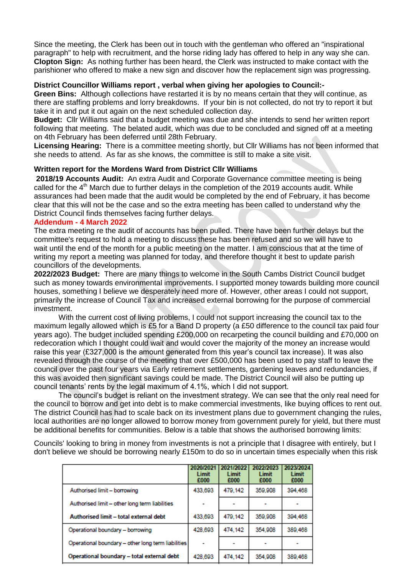Since the meeting, the Clerk has been out in touch with the gentleman who offered an "inspirational paragraph" to help with recruitment, and the horse riding lady has offered to help in any way she can. **Clopton Sign:** As nothing further has been heard, the Clerk was instructed to make contact with the parishioner who offered to make a new sign and discover how the replacement sign was progressing.

#### **District Councillor Williams report , verbal when giving her apologies to Council:-**

**Green Bins:** Although collections have restarted it is by no means certain that they will continue, as there are staffing problems and lorry breakdowns. If your bin is not collected, do not try to report it but take it in and put it out again on the next scheduled collection day.

**Budget:** Cllr Williams said that a budget meeting was due and she intends to send her written report following that meeting. The belated audit, which was due to be concluded and signed off at a meeting on 4th February has been deferred until 28th February.

**Licensing Hearing:** There is a committee meeting shortly, but Cllr Williams has not been informed that she needs to attend. As far as she knows, the committee is still to make a site visit.

## **Written report for the Mordens Ward from District Cllr Williams**

**2018/19 Accounts Audit:** An extra Audit and Corporate Governance committee meeting is being called for the 4<sup>th</sup> March due to further delays in the completion of the 2019 accounts audit. While assurances had been made that the audit would be completed by the end of February, it has become clear that this will not be the case and so the extra meeting has been called to understand why the District Council finds themselves facing further delays.

## **Addendum - 4 March 2022**

The extra meeting re the audit of accounts has been pulled. There have been further delays but the committee's request to hold a meeting to discuss these has been refused and so we will have to wait until the end of the month for a public meeting on the matter. I am conscious that at the time of writing my report a meeting was planned for today, and therefore thought it best to update parish councillors of the developments.

**2022/2023 Budget:** There are many things to welcome in the South Cambs District Council budget such as money towards environmental improvements. I supported money towards building more council houses, something I believe we desperately need more of. However, other areas I could not support, primarily the increase of Council Tax and increased external borrowing for the purpose of commercial investment.

With the current cost of living problems, I could not support increasing the council tax to the maximum legally allowed which is £5 for a Band D property (a £50 difference to the council tax paid four years ago). The budget included spending £200,000 on recarpeting the council building and £70,000 on redecoration which I thought could wait and would cover the majority of the money an increase would raise this year (£327,000 is the amount generated from this year's council tax increase). It was also revealed through the course of the meeting that over £500,000 has been used to pay staff to leave the council over the past four years via Early retirement settlements, gardening leaves and redundancies, if this was avoided then significant savings could be made. The District Council will also be putting up council tenants' rents by the legal maximum of 4.1%, which I did not support.

The council's budget is reliant on the investment strategy. We can see that the only real need for the council to borrow and get into debt is to make commercial investments, like buying offices to rent out. The district Council has had to scale back on its investment plans due to government changing the rules, local authorities are no longer allowed to borrow money from government purely for yield, but there must be additional benefits for communities. Below is a table that shows the authorised borrowing limits:

Councils' looking to bring in money from investments is not a principle that I disagree with entirely, but I don't believe we should be borrowing nearly £150m to do so in uncertain times especially when this risk

|                                                    | 2020/202<br>Limit<br>£000 | 2021/2022<br>Limit<br>£000 | 2022/2023<br>Limit<br>£000 | 2023/2024<br>Limit<br>£000 |
|----------------------------------------------------|---------------------------|----------------------------|----------------------------|----------------------------|
| Authorised limit - borrowing                       | 433,693                   | 479.142                    | 359,908                    | 394.468                    |
| Authorised limit - other long term liabilities     |                           |                            |                            |                            |
| Authorised limit - total external debt             | 433,693                   | 479,142                    | 359,908                    | 394,468                    |
| Operational boundary - borrowing                   | 428,693                   | 474.142                    | 354,908                    | 389.468                    |
| Operational boundary - other long term liabilities |                           |                            |                            |                            |
| Operational boundary - total external debt         | 428.693                   | 474.142                    | 354,908                    | 389,468                    |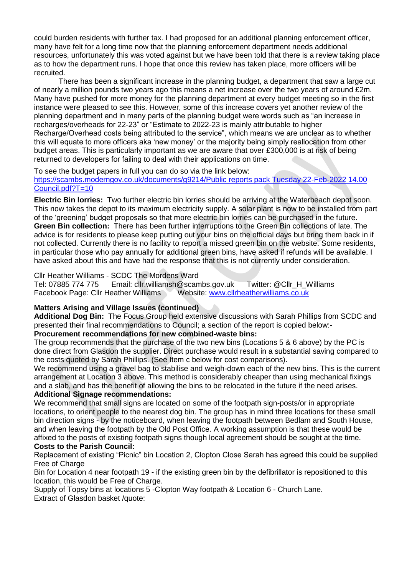could burden residents with further tax. I had proposed for an additional planning enforcement officer, many have felt for a long time now that the planning enforcement department needs additional resources, unfortunately this was voted against but we have been told that there is a review taking place as to how the department runs. I hope that once this review has taken place, more officers will be recruited.

There has been a significant increase in the planning budget, a department that saw a large cut of nearly a million pounds two years ago this means a net increase over the two years of around £2m. Many have pushed for more money for the planning department at every budget meeting so in the first instance were pleased to see this. However, some of this increase covers yet another review of the planning department and in many parts of the planning budget were words such as "an increase in recharges/overheads for 22-23" or "Estimate to 2022-23 is mainly attributable to higher Recharge/Overhead costs being attributed to the service", which means we are unclear as to whether this will equate to more officers aka 'new money' or the majority being simply reallocation from other budget areas. This is particularly important as we are aware that over £300,000 is at risk of being returned to developers for failing to deal with their applications on time.

To see the budget papers in full you can do so via the link below:

[https://scambs.moderngov.co.uk/documents/g9214/Public reports pack Tuesday 22-Feb-2022 14.00](https://scambs.moderngov.co.uk/documents/g9214/Public%20reports%20pack%20Tuesday%2022-Feb-2022%2014.00%20Council.pdf?T=10)  [Council.pdf?T=10](https://scambs.moderngov.co.uk/documents/g9214/Public%20reports%20pack%20Tuesday%2022-Feb-2022%2014.00%20Council.pdf?T=10)

**Electric Bin lorries:** Two further electric bin lorries should be arriving at the Waterbeach depot soon. This now takes the depot to its maximum electricity supply. A solar plant is now to be installed from part of the 'greening' budget proposals so that more electric bin lorries can be purchased in the future. **Green Bin collection:** There has been further interruptions to the Green Bin collections of late. The advice is for residents to please keep putting out your bins on the official days but bring them back in if not collected. Currently there is no facility to report a missed green bin on the website. Some residents, in particular those who pay annually for additional green bins, have asked if refunds will be available. I have asked about this and have had the response that this is not currently under consideration.

## Cllr Heather Williams - SCDC The Mordens Ward

Tel: 07885 774 775 Email: cllr.williamsh@scambs.gov.uk Twitter: @Cllr\_H\_Williams Facebook Page: Cllr Heather Williams Website: [www.cllrheatherwilliams.co.uk](http://www.cllrheatherwilliams.co.uk/)

## **Matters Arising and Village Issues (continued)**

**Additional Dog Bin:** The Focus Group held extensive discussions with Sarah Phillips from SCDC and presented their final recommendations to Council; a section of the report is copied below:-

## **Procurement recommendations for new combined-waste bins:**

The group recommends that the purchase of the two new bins (Locations 5 & 6 above) by the PC is done direct from Glasdon the supplier. Direct purchase would result in a substantial saving compared to the costs quoted by Sarah Phillips. (See Item c below for cost comparisons).

We recommend using a gravel bag to stabilise and weigh-down each of the new bins. This is the current arrangement at Location 3 above. This method is considerably cheaper than using mechanical fixings and a slab, and has the benefit of allowing the bins to be relocated in the future if the need arises. **Additional Signage recommendations:** 

We recommend that small signs are located on some of the footpath sign-posts/or in appropriate locations, to orient people to the nearest dog bin. The group has in mind three locations for these small bin direction signs - by the noticeboard, when leaving the footpath between Bedlam and South House, and when leaving the footpath by the Old Post Office. A working assumption is that these would be affixed to the posts of existing footpath signs though local agreement should be sought at the time. **Costs to the Parish Council:**

Replacement of existing "Picnic" bin Location 2, Clopton Close Sarah has agreed this could be supplied Free of Charge

Bin for Location 4 near footpath 19 - if the existing green bin by the defibrillator is repositioned to this location, this would be Free of Charge.

Supply of Topsy bins at locations 5 -Clopton Way footpath & Location 6 - Church Lane.

Extract of Glasdon basket /quote: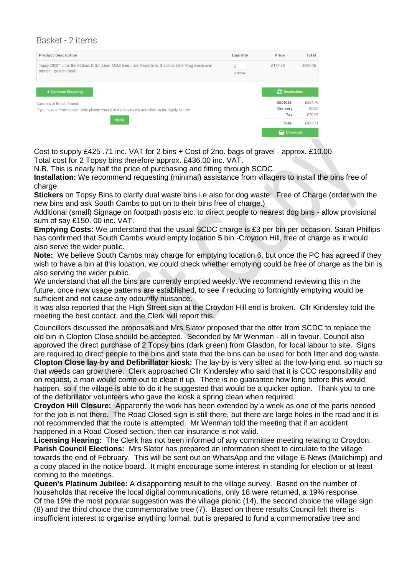# Basket - 2 items

| <b>Product Description</b>                                                                                                                 | Quantity                   | Price                | Total   |  |
|--------------------------------------------------------------------------------------------------------------------------------------------|----------------------------|----------------------|---------|--|
| Topsy 2000" Litter Bin (Colour: D Grn, Liner: Metal liner, Lock: Keyed lock, Graphics: Litter/Dog waste oval<br>sticker $-$ gold on clear) | $\overline{2}$<br>x remove | £177.38              | £354.76 |  |
| <b>4 Continue Shopping</b>                                                                                                                 |                            | <b>2</b> Recalculate |         |  |
| Currency is British Pound.                                                                                                                 |                            | Subtotal             | £354.76 |  |
| If you have a Promotional Code please enter it in the box below and click on the 'Apply' button.                                           | Delivery                   | £0.00                |         |  |
|                                                                                                                                            | Tax                        | £70.95               |         |  |
| <b>Apply</b>                                                                                                                               |                            | Total                | £425.71 |  |
|                                                                                                                                            |                            | <b>to</b> Checkout   |         |  |

Cost to supply £425 .71 inc. VAT for 2 bins + Cost of 2no. bags of gravel - approx. £10.00 Total cost for 2 Topsy bins therefore approx. £436.00 inc. VAT.

N.B. This is nearly half the price of purchasing and fitting through SCDC.

**Installation:** We recommend requesting (minimal) assistance from villagers to install the bins free of charge.

**Stickers** on Topsy Bins to clarify dual waste bins i.e also for dog waste: Free of Charge (order with the new bins and ask South Cambs to put on to their bins free of charge.)

Additional (small) Signage on footpath posts etc. to direct people to nearest dog bins - allow provisional sum of say £150. 00 inc. VAT.

**Emptying Costs:** We understand that the usual SCDC charge is £3 per bin per occasion. Sarah Phillips has confirmed that South Cambs would empty location 5 bin -Croydon Hill, free of charge as it would also serve the wider public.

**Note:** We believe South Cambs may charge for emptying location 6, but once the PC has agreed if they wish to have a bin at this location, we could check whether emptying could be free of charge as the bin is also serving the wider public.

We understand that all the bins are currently emptied weekly. We recommend reviewing this in the future, once new usage patterns are established, to see if reducing to fortnightly emptying would be sufficient and not cause any odour/fly nuisance.

It was also reported that the High Street sign at the Croydon Hill end is broken. Cllr Kindersley told the meeting the best contact, and the Clerk will report this.

Councillors discussed the proposals and Mrs Slator proposed that the offer from SCDC to replace the old bin in Clopton Close should be accepted. Seconded by Mr Wenman - all in favour. Council also approved the direct purchase of 2 Topsy bins (dark green) from Glasdon, for local labour to site. Signs are required to direct people to the bins and state that the bins can be used for both litter and dog waste. **Clopton Close lay-by and Defibrillator kiosk:** The lay-by is very silted at the low-lying end, so much so that weeds can grow there. Clerk approached Cllr Kindersley who said that it is CCC responsibility and on request, a man would come out to clean it up. There is no guarantee how long before this would happen, so if the village is able to do it he suggested that would be a quicker option. Thank you to one of the defibrillator volunteers who gave the kiosk a spring clean when required.

**Croydon Hill Closure:** Apparently the work has been extended by a week as one of the parts needed for the job is not there. The Road Closed sign is still there, but there are large holes in the road and it is not recommended that the route is attempted. Mr Wenman told the meeting that if an accident happened in a Road Closed section, then car insurance is not valid.

**Licensing Hearing:** The Clerk has not been informed of any committee meeting relating to Croydon. **Parish Council Elections:** Mrs Slator has prepared an information sheet to circulate to the village towards the end of February. This will be sent out on WhatsApp and the village E-News (Mailchimp) and a copy placed in the notice board. It might encourage some interest in standing for election or at least coming to the meetings.

**Queen's Platinum Jubilee:** A disappointing result to the village survey. Based on the number of households that receive the local digital communications, only 18 were returned, a 19% response. Of the 19% the most popular suggestion was the village picnic (14), the second choice the village sign (8) and the third choice the commemorative tree (7). Based on these results Council felt there is insufficient interest to organise anything formal, but is prepared to fund a commemorative tree and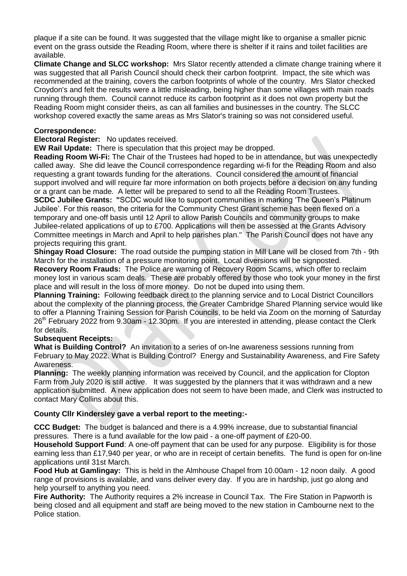plaque if a site can be found. It was suggested that the village might like to organise a smaller picnic event on the grass outside the Reading Room, where there is shelter if it rains and toilet facilities are available.

**Climate Change and SLCC workshop:** Mrs Slator recently attended a climate change training where it was suggested that all Parish Council should check their carbon footprint. Impact, the site which was recommended at the training, covers the carbon footprints of whole of the country. Mrs Slator checked Croydon's and felt the results were a little misleading, being higher than some villages with main roads running through them. Council cannot reduce its carbon footprint as it does not own property but the Reading Room might consider theirs, as can all families and businesses in the country. The SLCC workshop covered exactly the same areas as Mrs Slator's training so was not considered useful.

## **Correspondence:**

**Electoral Register:** No updates received.

**EW Rail Update:** There is speculation that this project may be dropped.

**Reading Room Wi-Fi:** The Chair of the Trustees had hoped to be in attendance, but was unexpectedly called away. She did leave the Council correspondence regarding wi-fi for the Reading Room and also requesting a grant towards funding for the alterations. Council considered the amount of financial support involved and will require far more information on both projects before a decision on any funding or a grant can be made. A letter will be prepared to send to all the Reading Room Trustees. **SCDC Jubilee Grants: "**SCDC would like to support communities in marking 'The Queen's Platinum Jubilee'. For this reason, the criteria for the Community Chest Grant scheme has been flexed on a temporary and one-off basis until 12 April to allow Parish Councils and community groups to make Jubilee-related applications of up to £700. Applications will then be assessed at the Grants Advisory Committee meetings in March and April to help parishes plan." The Parish Council does not have any projects requiring this grant.

**Shingay Road Closure:** The road outside the pumping station in Mill Lane will be closed from 7th - 9th March for the installation of a pressure monitoring point. Local diversions will be signposted.

**Recovery Room Frauds:** The Police are warning of Recovery Room Scams, which offer to reclaim money lost in various scam deals. These are probably offered by those who took your money in the first place and will result in the loss of more money. Do not be duped into using them.

**Planning Training:** Following feedback direct to the planning service and to Local District Councillors about the complexity of the planning process, the Greater Cambridge Shared Planning service would like to offer a Planning Training Session for Parish Councils, to be held via Zoom on the morning of Saturday 26<sup>th</sup> February 2022 from 9.30am - 12.30pm. If you are interested in attending, please contact the Clerk for details.

## **Subsequent Receipts:**

**What is Building Control?** An invitation to a series of on-lne awareness sessions running from February to May 2022. What is Building Control? Energy and Sustainability Awareness, and Fire Safety Awareness.

**Planning:** The weekly planning information was received by Council, and the application for Clopton Farm from July 2020 is still active. It was suggested by the planners that it was withdrawn and a new application submitted. A new application does not seem to have been made, and Clerk was instructed to contact Mary Collins about this.

## **County Cllr Kindersley gave a verbal report to the meeting:-**

**CCC Budget:** The budget is balanced and there is a 4.99% increase, due to substantial financial pressures. There is a fund available for the low paid - a one-off payment of £20-00.

**Household Support Fund**: A one-off payment that can be used for any purpose. Eligibility is for those earning less than £17,940 per year, or who are in receipt of certain benefits. The fund is open for on-line applications until 31st March.

**Food Hub at Gamlingay:** This is held in the Almhouse Chapel from 10.00am - 12 noon daily. A good range of provisions is available, and vans deliver every day. If you are in hardship, just go along and help yourself to anything you need.

**Fire Authority:** The Authority requires a 2% increase in Council Tax. The Fire Station in Papworth is being closed and all equipment and staff are being moved to the new station in Cambourne next to the Police station.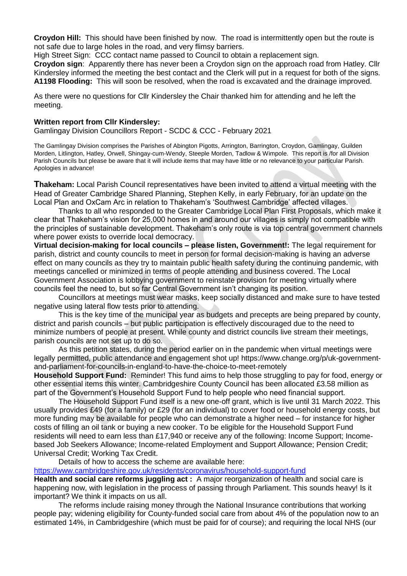**Croydon Hill:** This should have been finished by now. The road is intermittently open but the route is not safe due to large holes in the road, and very flimsy barriers.

High Street Sign: CCC contact name passed to Council to obtain a replacement sign.

**Croydon sign**: Apparently there has never been a Croydon sign on the approach road from Hatley. Cllr Kindersley informed the meeting the best contact and the Clerk will put in a request for both of the signs. **A1198 Flooding:** This will soon be resolved, when the road is excavated and the drainage improved.

As there were no questions for Cllr Kindersley the Chair thanked him for attending and he left the meeting.

#### **Written report from Cllr Kindersley:**

Gamlingay Division Councillors Report - SCDC & CCC - February 2021

The Gamlingay Division comprises the Parishes of Abington Pigotts, Arrington, Barrington, Croydon, Gamlingay, Guilden Morden, Litlington, Hatley, Orwell, Shingay-cum-Wendy, Steeple Morden, Tadlow & Wimpole. This report is /for all Division Parish Councils but please be aware that it will include items that may have little or no relevance to your particular Parish. Apologies in advance!

**Thakeham:** Local Parish Council representatives have been invited to attend a virtual meeting with the Head of Greater Cambridge Shared Planning, Stephen Kelly, in early February, for an update on the Local Plan and OxCam Arc in relation to Thakeham's 'Southwest Cambridge' affected villages.

Thanks to all who responded to the Greater Cambridge Local Plan First Proposals, which make it clear that Thakeham's vision for 25,000 homes in and around our villages is simply not compatible with the principles of sustainable development. Thakeham's only route is via top central government channels where power exists to override local democracy.

**Virtual decision-making for local councils – please listen, Government!:** The legal requirement for parish, district and county councils to meet in person for formal decision-making is having an adverse effect on many councils as they try to maintain public health safety during the continuing pandemic, with meetings cancelled or minimized in terms of people attending and business covered. The Local Government Association is lobbying government to reinstate provision for meeting virtually where councils feel the need to, but so far Central Government isn't changing its position.

Councillors at meetings must wear masks, keep socially distanced and make sure to have tested negative using lateral flow tests prior to attending.

This is the key time of the municipal year as budgets and precepts are being prepared by county, district and parish councils – but public participation is effectively discouraged due to the need to minimize numbers of people at present. While county and district councils live stream their meetings, parish councils are not set up to do so.

As this petition states, during the period earlier on in the pandemic when virtual meetings were legally permitted, public attendance and engagement shot up! https://www.change.org/p/uk-governmentand-parliament-for-councils-in-england-to-have-the-choice-to-meet-remotely

**Household Support Fund:** Reminder! This fund aims to help those struggling to pay for food, energy or other essential items this winter. Cambridgeshire County Council has been allocated £3.58 million as part of the Government's Household Support Fund to help people who need financial support.

The Household Support Fund itself is a new one-off grant, which is live until 31 March 2022. This usually provides £49 (for a family) or £29 (for an individual) to cover food or household energy costs, but more funding may be available for people who can demonstrate a higher need – for instance for higher costs of filling an oil tank or buying a new cooker. To be eligible for the Household Support Fund residents will need to earn less than £17,940 or receive any of the following: Income Support; Incomebased Job Seekers Allowance; Income-related Employment and Support Allowance; Pension Credit; Universal Credit; Working Tax Credit.

Details of how to access the scheme are available here:

<https://www.cambridgeshire.gov.uk/residents/coronavirus/household-support-fund>

**Health and social care reforms juggling act :** A major reorganization of health and social care is happening now, with legislation in the process of passing through Parliament. This sounds heavy! Is it important? We think it impacts on us all.

The reforms include raising money through the National Insurance contributions that working people pay; widening eligibility for County-funded social care from about 4% of the population now to an estimated 14%, in Cambridgeshire (which must be paid for of course); and requiring the local NHS (our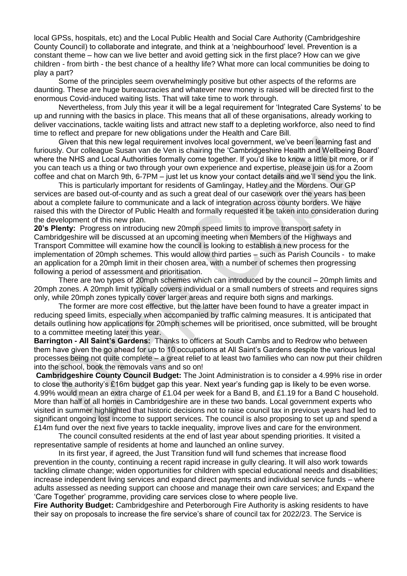local GPSs, hospitals, etc) and the Local Public Health and Social Care Authority (Cambridgeshire County Council) to collaborate and integrate, and think at a 'neighbourhood' level. Prevention is a constant theme – how can we live better and avoid getting sick in the first place? How can we give children - from birth - the best chance of a healthy life? What more can local communities be doing to play a part?

Some of the principles seem overwhelmingly positive but other aspects of the reforms are daunting. These are huge bureaucracies and whatever new money is raised will be directed first to the enormous Covid-induced waiting lists. That will take time to work through.

Nevertheless, from July this year it will be a legal requirement for 'Integrated Care Systems' to be up and running with the basics in place. This means that all of these organisations, already working to deliver vaccinations, tackle waiting lists and attract new staff to a depleting workforce, also need to find time to reflect and prepare for new obligations under the Health and Care Bill.

Given that this new legal requirement involves local government, we've been learning fast and furiously. Our colleague Susan van de Ven is chairing the 'Cambridgeshire Health and Wellbeing Board' where the NHS and Local Authorities formally come together. If you'd like to know a little bit more, or if you can teach us a thing or two through your own experience and expertise, please join us for a Zoom coffee and chat on March 9th, 6-7PM – just let us know your contact details and we'll send you the link.

This is particularly important for residents of Gamlingay, Hatley and the Mordens. Our GP services are based out-of-county and as such a great deal of our casework over the years has been about a complete failure to communicate and a lack of integration across county borders. We have raised this with the Director of Public Health and formally requested it be taken into consideration during the development of this new plan.

**20's Plenty:** Progress on introducing new 20mph speed limits to improve transport safety in Cambridgeshire will be discussed at an upcoming meeting when Members of the Highways and Transport Committee will examine how the council is looking to establish a new process for the implementation of 20mph schemes. This would allow third parties – such as Parish Councils - to make an application for a 20mph limit in their chosen area, with a number of schemes then progressing following a period of assessment and prioritisation.

There are two types of 20mph schemes which can introduced by the council – 20mph limits and 20mph zones. A 20mph limit typically covers individual or a small numbers of streets and requires signs only, while 20mph zones typically cover larger areas and require both signs and markings.

The former are more cost effective, but the latter have been found to have a greater impact in reducing speed limits, especially when accompanied by traffic calming measures. It is anticipated that details outlining how applications for 20mph schemes will be prioritised, once submitted, will be brought to a committee meeting later this year.

**Barrington - All Saint's Gardens:** Thanks to officers at South Cambs and to Redrow who between them have given the go ahead for up to 10 occupations at All Saint's Gardens despite the various legal processes being not quite complete – a great relief to at least two families who can now put their children into the school, book the removals vans and so on!

**Cambridgeshire County Council Budget:** The Joint Administration is to consider a 4.99% rise in order to close the authority's £16m budget gap this year. Next year's funding gap is likely to be even worse. 4.99% would mean an extra charge of £1.04 per week for a Band B, and £1.19 for a Band C household. More than half of all homes in Cambridgeshire are in these two bands. Local government experts who visited in summer highlighted that historic decisions not to raise council tax in previous years had led to significant ongoing lost income to support services. The council is also proposing to set up and spend a £14m fund over the next five years to tackle inequality, improve lives and care for the environment.

The council consulted residents at the end of last year about spending priorities. It visited a representative sample of residents at home and launched an online survey.

In its first year, if agreed, the Just Transition fund will fund schemes that increase flood prevention in the county, continuing a recent rapid increase in gully clearing. It will also work towards tackling climate change; widen opportunities for children with special educational needs and disabilities; increase independent living services and expand direct payments and individual service funds – where adults assessed as needing support can choose and manage their own care services; and Expand the 'Care Together' programme, providing care services close to where people live.

**Fire Authority Budget:** Cambridgeshire and Peterborough Fire Authority is asking residents to have their say on proposals to increase the fire service's share of council tax for 2022/23. The Service is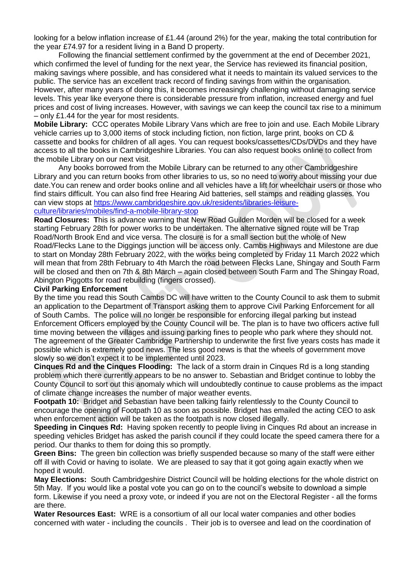looking for a below inflation increase of £1.44 (around 2%) for the year, making the total contribution for the year £74.97 for a resident living in a Band D property.

Following the financial settlement confirmed by the government at the end of December 2021, which confirmed the level of funding for the next year, the Service has reviewed its financial position, making savings where possible, and has considered what it needs to maintain its valued services to the public. The service has an excellent track record of finding savings from within the organisation. However, after many years of doing this, it becomes increasingly challenging without damaging service levels. This year like everyone there is considerable pressure from inflation, increased energy and fuel prices and cost of living increases. However, with savings we can keep the council tax rise to a minimum – only £1.44 for the year for most residents.

**Mobile Library:** CCC operates Mobile Library Vans which are free to join and use. Each Mobile Library vehicle carries up to 3,000 items of stock including fiction, non fiction, large print, books on CD & cassette and books for children of all ages. You can request books/cassettes/CDs/DVDs and they have access to all the books in Cambridgeshire Libraries. You can also request books online to collect from the mobile Library on our next visit.

Any books borrowed from the Mobile Library can be returned to any other Cambridgeshire Library and you can return books from other libraries to us, so no need to worry about missing your due date.You can renew and order books online and all vehicles have a lift for wheelchair users or those who find stairs difficult. You can also find free Hearing Aid batteries, sell stamps and reading glasses. You can view stops at [https://www.cambridgeshire.gov.uk/residents/libraries-leisure](https://www.cambridgeshire.gov.uk/residents/libraries-leisure-culture/libraries/mobiles/find-a-mobile-library-stop)[culture/libraries/mobiles/find-a-mobile-library-stop](https://www.cambridgeshire.gov.uk/residents/libraries-leisure-culture/libraries/mobiles/find-a-mobile-library-stop)

**Road Closures: T**his is advance warning that New Road Guilden Morden will be closed for a week starting February 28th for power works to be undertaken. The alternative signed route will be Trap Road/North Brook End and vice versa. The closure is for a small section but the whole of New Road/Flecks Lane to the Diggings junction will be access only. Cambs Highways and Milestone are due to start on Monday 28th February 2022, with the works being completed by Friday 11 March 2022 which will mean that from 28th February to 4th March the road between Flecks Lane, Shingay and South Farm will be closed and then on 7th & 8th March – again closed between South Farm and The Shingay Road, Abington Piggotts for road rebuilding (fingers crossed).

## **Civil Parking Enforcement**

By the time you read this South Cambs DC will have written to the County Council to ask them to submit an application to the Department of Transport asking them to approve Civil Parking Enforcement for all of South Cambs. The police will no longer be responsible for enforcing illegal parking but instead Enforcement Officers employed by the County Council will be. The plan is to have two officers active full time moving between the villages and issuing parking fines to people who park where they should not. The agreement of the Greater Cambridge Partnership to underwrite the first five years costs has made it possible which is extremely good news. The less good news is that the wheels of government move slowly so we don't expect it to be implemented until 2023.

**Cinques Rd and the Cinques Flooding:** The lack of a storm drain in Cinques Rd is a long standing problem which there currently appears to be no answer to. Sebastian and Bridget continue to lobby the County Council to sort out this anomaly which will undoubtedly continue to cause problems as the impact of climate change increases the number of major weather events.

**Footpath 10:** Bridget and Sebastian have been talking fairly relentlessly to the County Council to encourage the opening of Footpath 10 as soon as possible. Bridget has emailed the acting CEO to ask when enforcement action will be taken as the footpath is now closed illegally.

**Speeding in Cinques Rd:** Having spoken recently to people living in Cinques Rd about an increase in speeding vehicles Bridget has asked the parish council if they could locate the speed camera there for a period. Our thanks to them for doing this so promptly.

**Green Bins:** The green bin collection was briefly suspended because so many of the staff were either off ill with Covid or having to isolate. We are pleased to say that it got going again exactly when we hoped it would.

**May Elections:** South Cambridgeshire District Council will be holding elections for the whole district on 5th May. If you would like a postal vote you can go on to the council's website to download a simple form. Likewise if you need a proxy vote, or indeed if you are not on the Electoral Register - all the forms are there.

**Water Resources East:** WRE is a consortium of all our local water companies and other bodies concerned with water - including the councils . Their job is to oversee and lead on the coordination of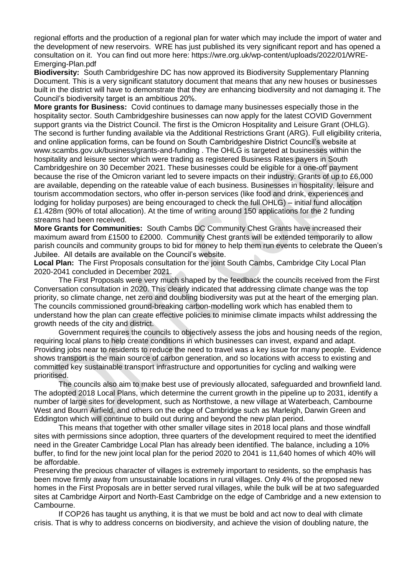regional efforts and the production of a regional plan for water which may include the import of water and the development of new reservoirs. WRE has just published its very significant report and has opened a consultation on it. You can find out more here: https://wre.org.uk/wp-content/uploads/2022/01/WRE-Emerging-Plan.pdf

**Biodiversity:** South Cambridgeshire DC has now approved its Biodiversity Supplementary Planning Document. This is a very significant statutory document that means that any new houses or businesses built in the district will have to demonstrate that they are enhancing biodiversity and not damaging it. The Council's biodiversity target is an ambitious 20%.

**More grants for Business:** Covid continues to damage many businesses especially those in the hospitality sector. South Cambridgeshire businesses can now apply for the latest COVID Government support grants via the District Council. The first is the Omicron Hospitality and Leisure Grant (OHLG). The second is further funding available via the Additional Restrictions Grant (ARG). Full eligibility criteria, and online application forms, can be found on South Cambridgeshire District Council's website at www.scambs.gov.uk/business/grants-and-funding . The OHLG is targeted at businesses within the hospitality and leisure sector which were trading as registered Business Rates payers in South Cambridgeshire on 30 December 2021. These businesses could be eligible for a one-off payment because the rise of the Omicron variant led to severe impacts on their industry. Grants of up to £6,000 are available, depending on the rateable value of each business. Businesses in hospitality, leisure and tourism accommodation sectors, who offer in-person services (like food and drink, experiences and lodging for holiday purposes) are being encouraged to check the full OHLG) – initial fund allocation £1.428m (90% of total allocation). At the time of writing around 150 applications for the 2 funding streams had been received.

**More Grants for Communities:** South Cambs DC Community Chest Grants have increased their maximum award from £1500 to £2000. Community Chest grants will be extended temporarily to allow parish councils and community groups to bid for money to help them run events to celebrate the Queen's Jubilee. All details are available on the Council's website.

**Local Plan:** The First Proposals consultation for the joint South Cambs, Cambridge City Local Plan 2020-2041 concluded in December 2021.

The First Proposals were very much shaped by the feedback the councils received from the First Conversation consultation in 2020. This clearly indicated that addressing climate change was the top priority, so climate change, net zero and doubling biodiversity was put at the heart of the emerging plan. The councils commissioned ground-breaking carbon-modelling work which has enabled them to understand how the plan can create effective policies to minimise climate impacts whilst addressing the growth needs of the city and district.

Government requires the councils to objectively assess the jobs and housing needs of the region, requiring local plans to help create conditions in which businesses can invest, expand and adapt. Providing jobs near to residents to reduce the need to travel was a key issue for many people. Evidence shows transport is the main source of carbon generation, and so locations with access to existing and committed key sustainable transport infrastructure and opportunities for cycling and walking were prioritised.

The councils also aim to make best use of previously allocated, safeguarded and brownfield land. The adopted 2018 Local Plans, which determine the current growth in the pipeline up to 2031, identify a number of large sites for development, such as Northstowe, a new village at Waterbeach, Cambourne West and Bourn Airfield, and others on the edge of Cambridge such as Marleigh, Darwin Green and Eddington which will continue to build out during and beyond the new plan period.

This means that together with other smaller village sites in 2018 local plans and those windfall sites with permissions since adoption, three quarters of the development required to meet the identified need in the Greater Cambridge Local Plan has already been identified. The balance, including a 10% buffer, to find for the new joint local plan for the period 2020 to 2041 is 11,640 homes of which 40% will be affordable.

Preserving the precious character of villages is extremely important to residents, so the emphasis has been move firmly away from unsustainable locations in rural villages. Only 4% of the proposed new homes in the First Proposals are in better served rural villages, while the bulk will be at two safeguarded sites at Cambridge Airport and North-East Cambridge on the edge of Cambridge and a new extension to Cambourne.

If COP26 has taught us anything, it is that we must be bold and act now to deal with climate crisis. That is why to address concerns on biodiversity, and achieve the vision of doubling nature, the